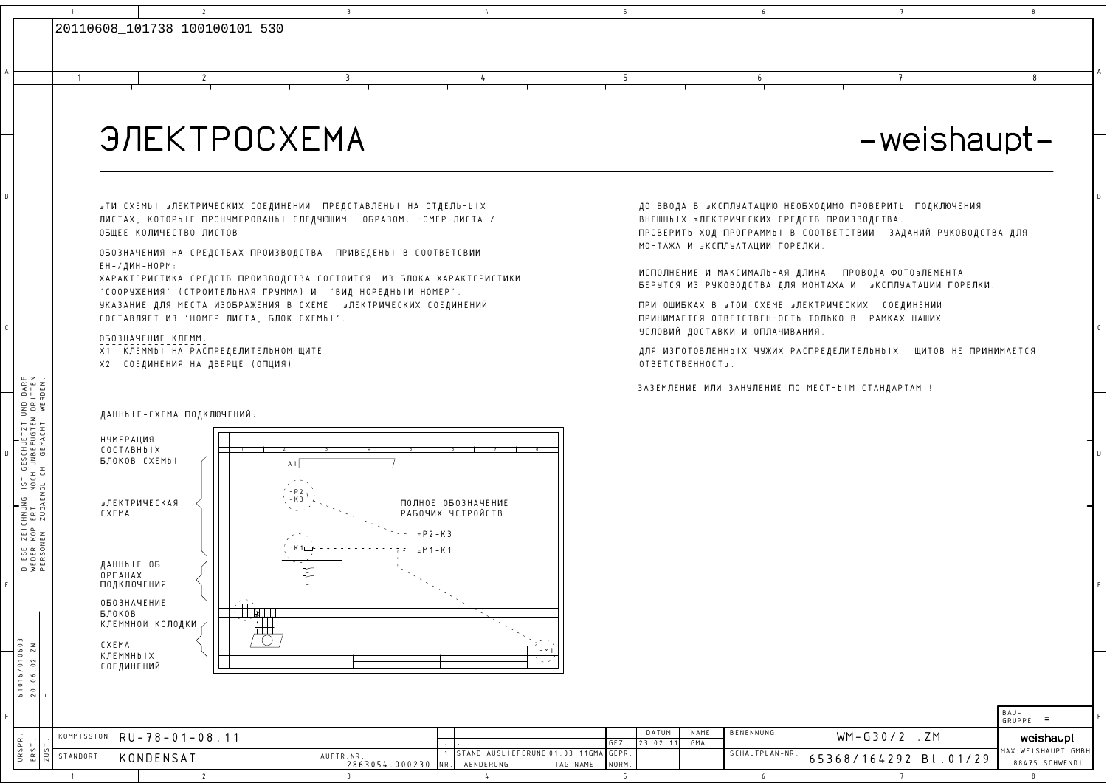

1

2

## **ЭЛЕКТРОСХЕМА**

## -weishaupt-

**BTN CXEMbI BJIEKTPNVECKNX COEDNHEHNN ITPEDCTABJIEHbI HA OTDEJIBHBIX** ЛИСТАХ, КОТОРЬІЕ ПРОНУМЕРОВАНЬІ СЛЕДУЮЩИМ ОБРАЗОМ: НОМЕР ЛИСТА / OBWEE KOJNYECTBO JUCTOB.

3

4

<u>4 5</u>

<sup>A</sup>

<sup>1</sup> <sup>2</sup> <sup>3</sup> <sup>4</sup> <sup>5</sup> <sup>6</sup> <sup>7</sup> <sup>8</sup>

 $\frac{3}{4}$  6

OБОЗНАЧЕНИЯ НА СРЕДСТВАХ ПРОИЗВОДСТВА ПРИВЕДЕНЬІ В СООТВЕТСВИИ EH-/DNH-HOPM:

XAPAKTEPИСТИКА СРЕДСТВ ПРОИЗВОДСТВА СОСТОИТСЯ ИЗ БЛОКА ХАРАКТЕРИСТИКИ УКАЗАНИЕ ДЛЯ МЕСТА ИЗОБРАЖЕНИЯ В СХЕМЕ ∋ЛЕКТРИЧЕСКИХ СОЕДИНЕНИЙ COCTABLRET N3 'HOMEP LNCTA, SLOK CXEMbI'.'COOPYZEHNR' (CTPONTELbHAR GPYMMA) N 'BND HOPEDHbIN HOMEP'.

OGO3HAYEHNE KJEMM

C

A

DIESE ZEICHNUNG IST GESCHUETZT UND DARF WEDER KOPIERT , NOCH UNBEFUGTEN DRITTEN

E

F

URSPR. ERST.

61016/010603

61016/010603

1

X1 КЛЕММЬІ НА РАСПРЕДЕЛИТЕЛЬНОМ ЩИТЕ

X2 **СОЕДИНЕНИЯ НА ДВЕРЦЕ (ОПЦИЯ)** 

 $\overline{2}$ 

BHEWHBIX **STEKTPNVECKNX CPEDCTB TPON3BODCTBA.** ПРОВЕРИТЬ ХОД ПРОГРАММЬІ В СООТВЕТСТВИИ ЗАДАНИЙ РУКОВОДСТВА ДЛЯ МОНТАЖА И ЭКСПЛУАТАЦИИ ГОРЕЛКИ. ДО ВВОДА В ЭКСПЛУАТАЦИЮ НЕОБХОДИМО ПРОВЕРИТЬ ПОДКЛЮЧЕНИЯ

ИСПОЛНЕНИЕ И МАКСИМАЛЬНАЯ ДЛИНА — ПРОВОДА ФОТО∍ЛЕМЕНТА БЕРУТСЯ ИЗ РУКОВОДСТВА ДЛЯ МОНТАЖА И ∋КСПЛУАТАЦИИ ГОРЕЛКИ.

 <sup>C</sup> YCLOBNn DOCTABKN N OJLAVNBAHNR.ПРИ ОШИБКАХ В эТОИ СХЕМЕ эЛЕКТРИЧЕСКИХ СОЕДИНЕНИЙ JPNHNMAETCR OTBETCTBEHHOCTb TOLbKO BPAMKAX HAWNX

> ДЛЯ ИЗГОТОВЛЕННЫ X ЧУЖИХ РАСПРЕДЕЛИТЕЛЬНЫ X ЩИТОВ НЕ ПРИНИМАЕТСЯ OTBETCTBEHHOCTb.

> > 65368/164292 Bl.01/29

7

 $\overline{5}$ 

4

<sup>5</sup>

<sup>6</sup>

DATUM $23.02.11$  NAME BENENNUNG

SCHALTPLAN-NR.



3

MAX WEISHAUPT GMBH

888475 SCHWENDI B

8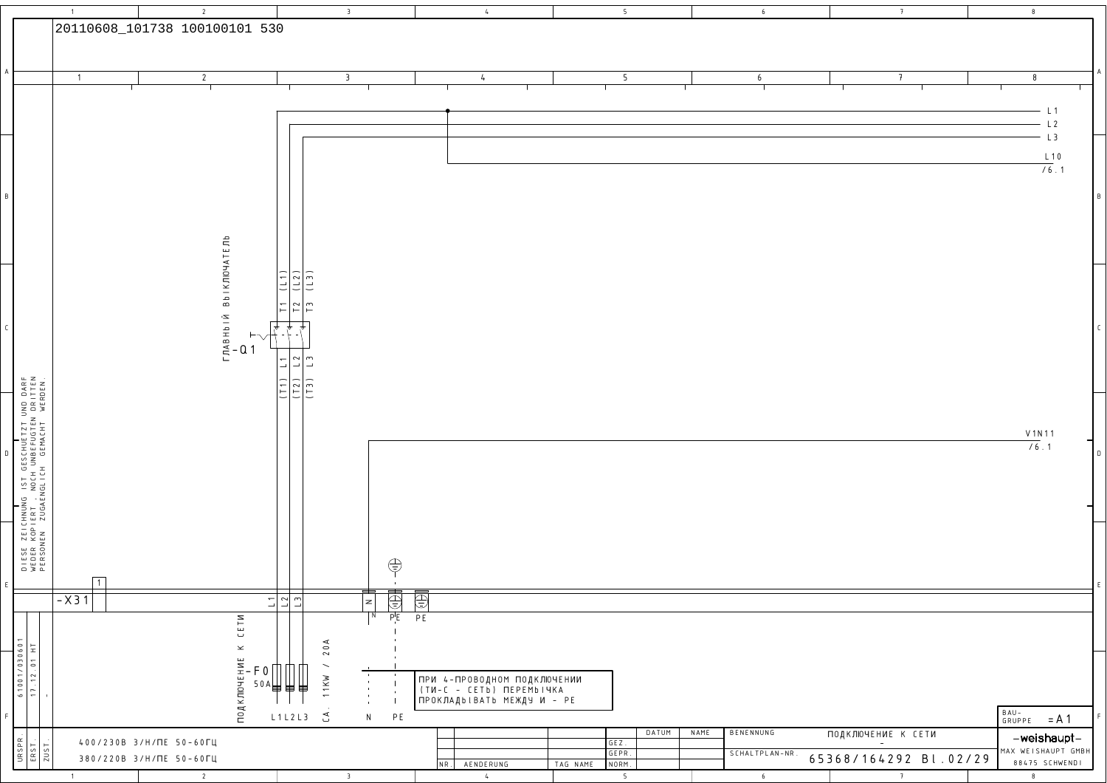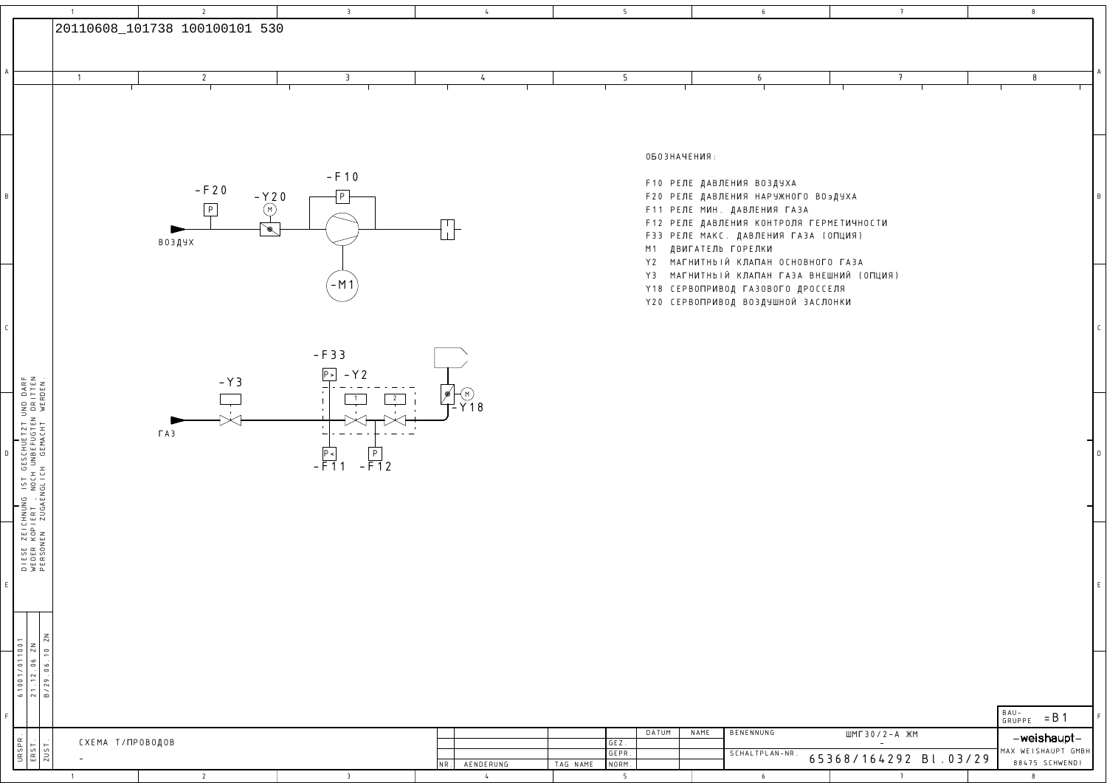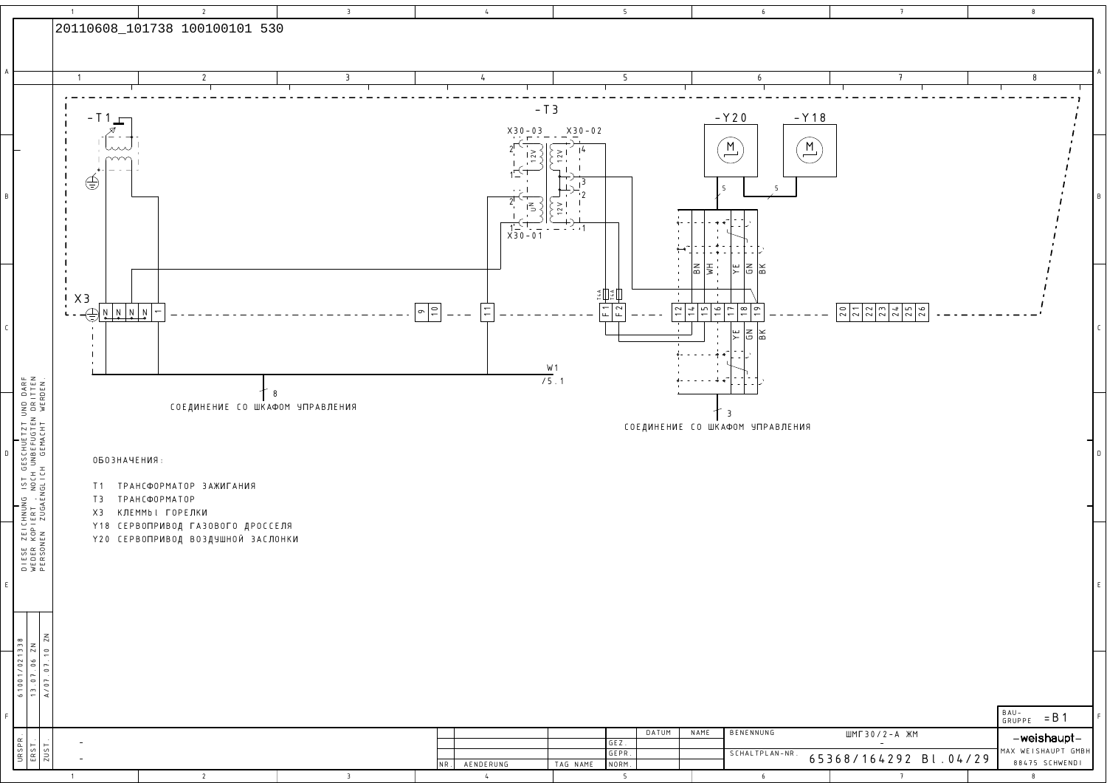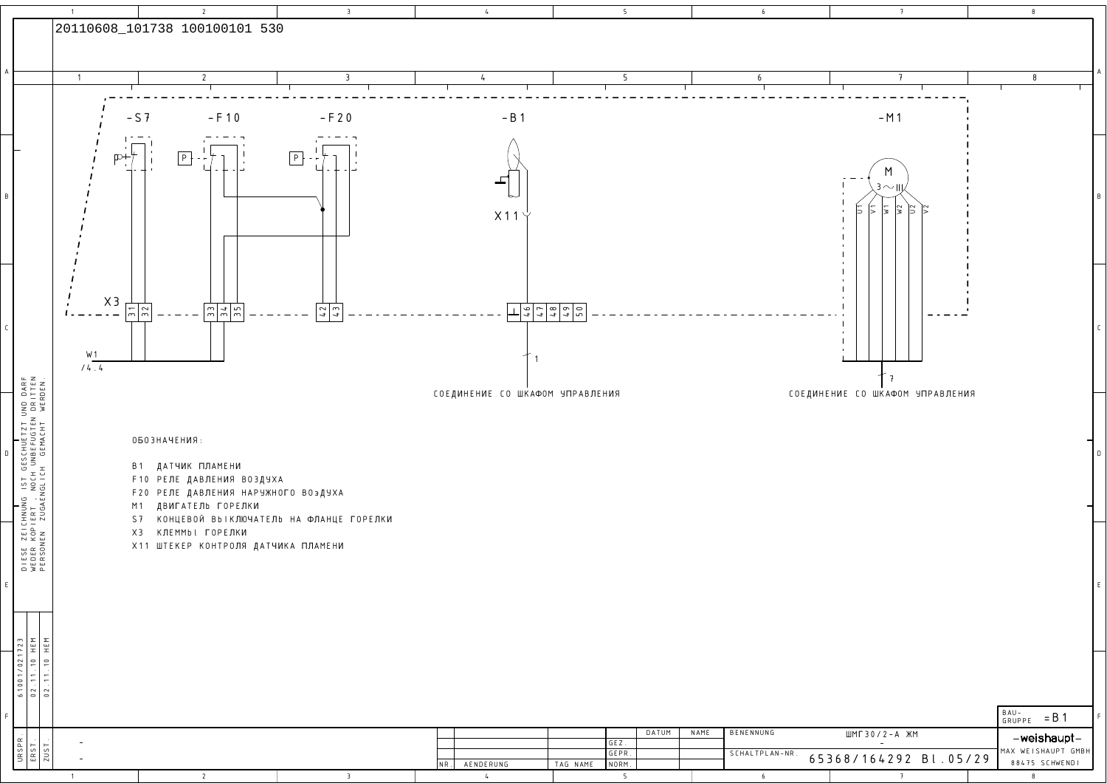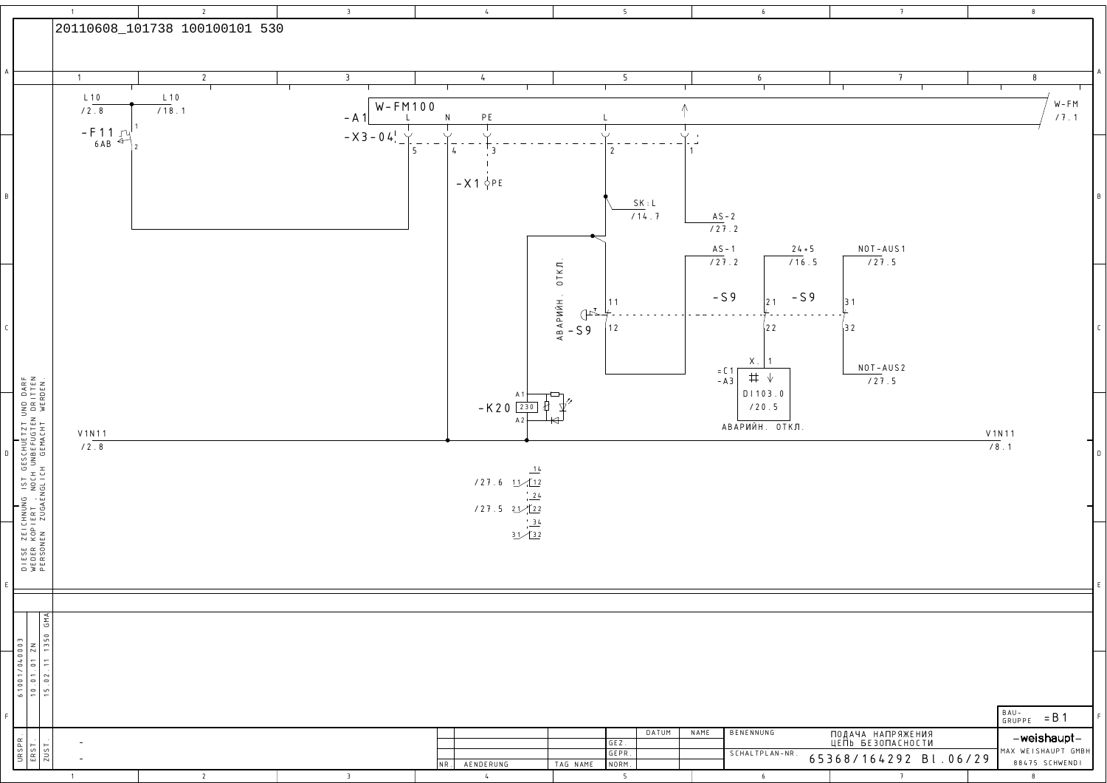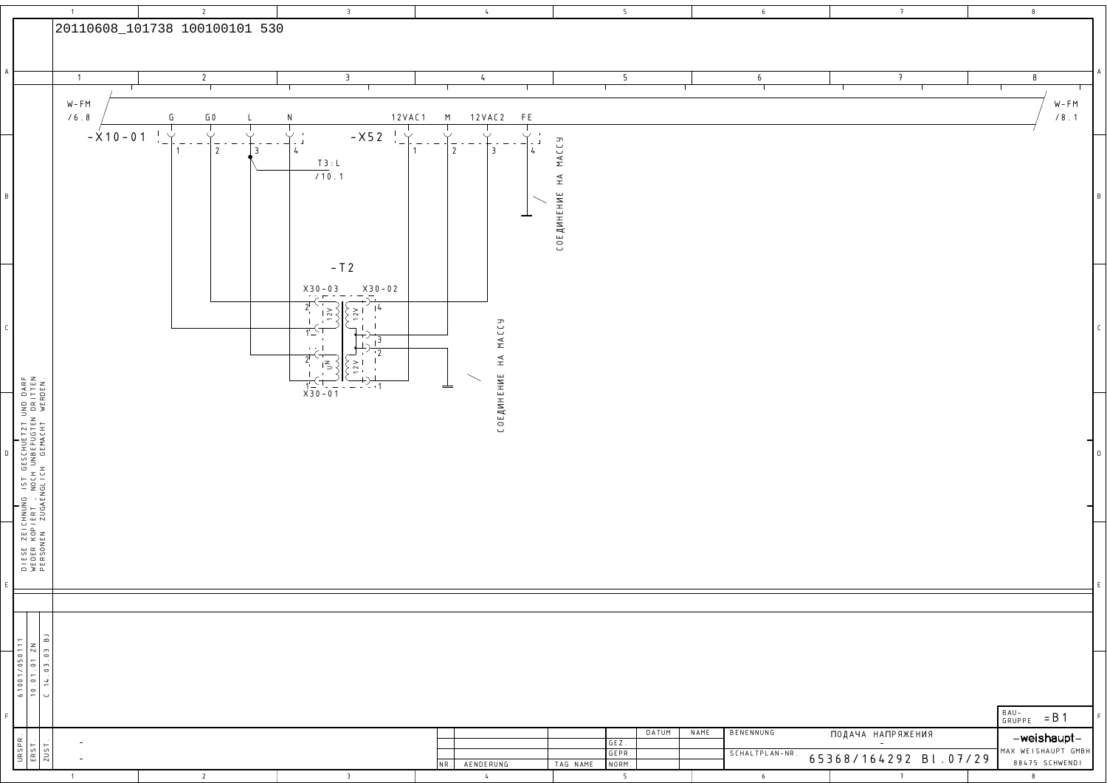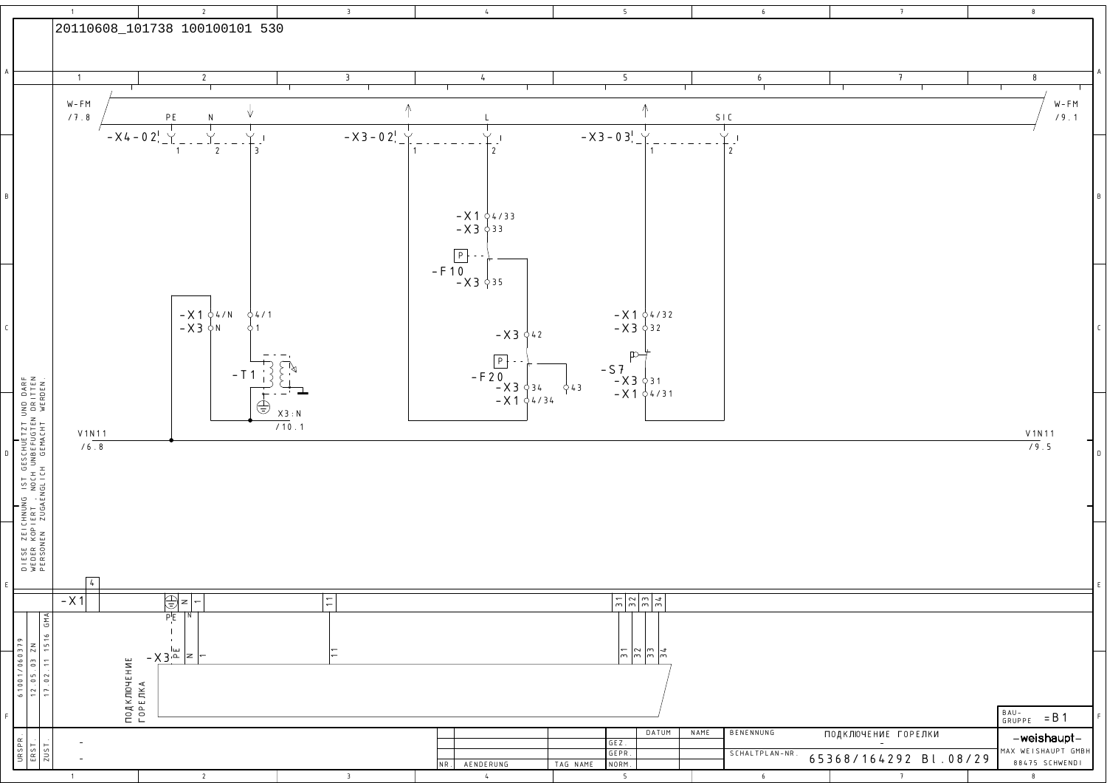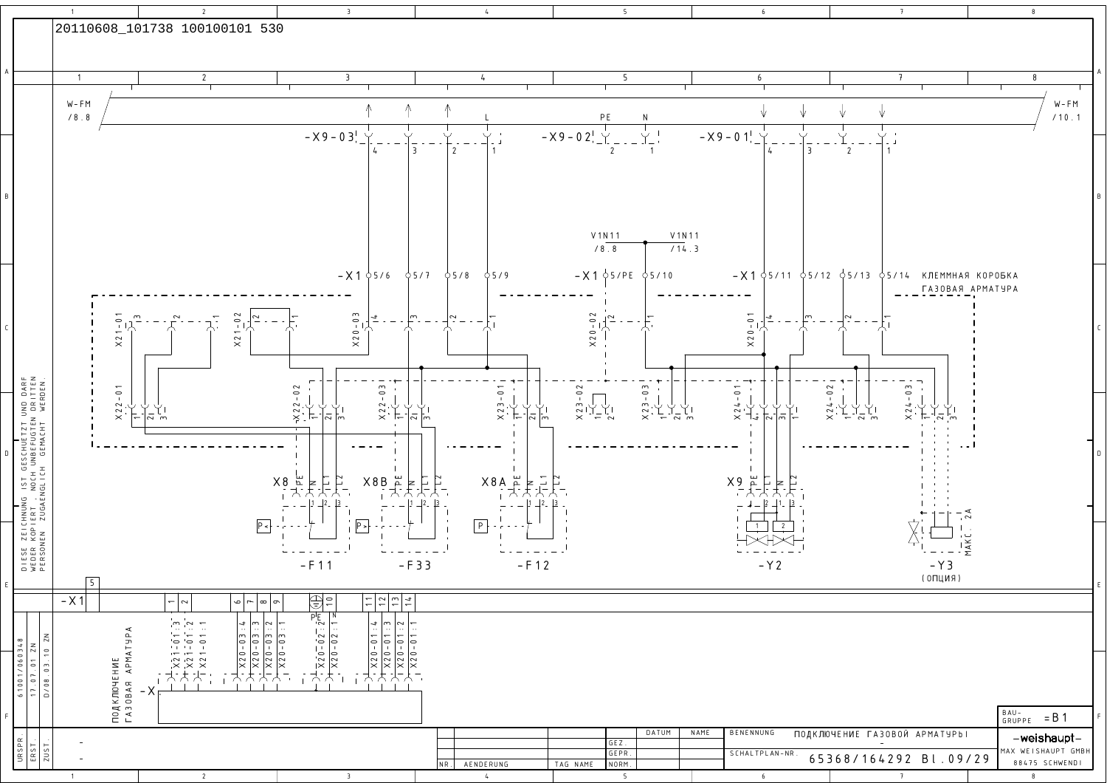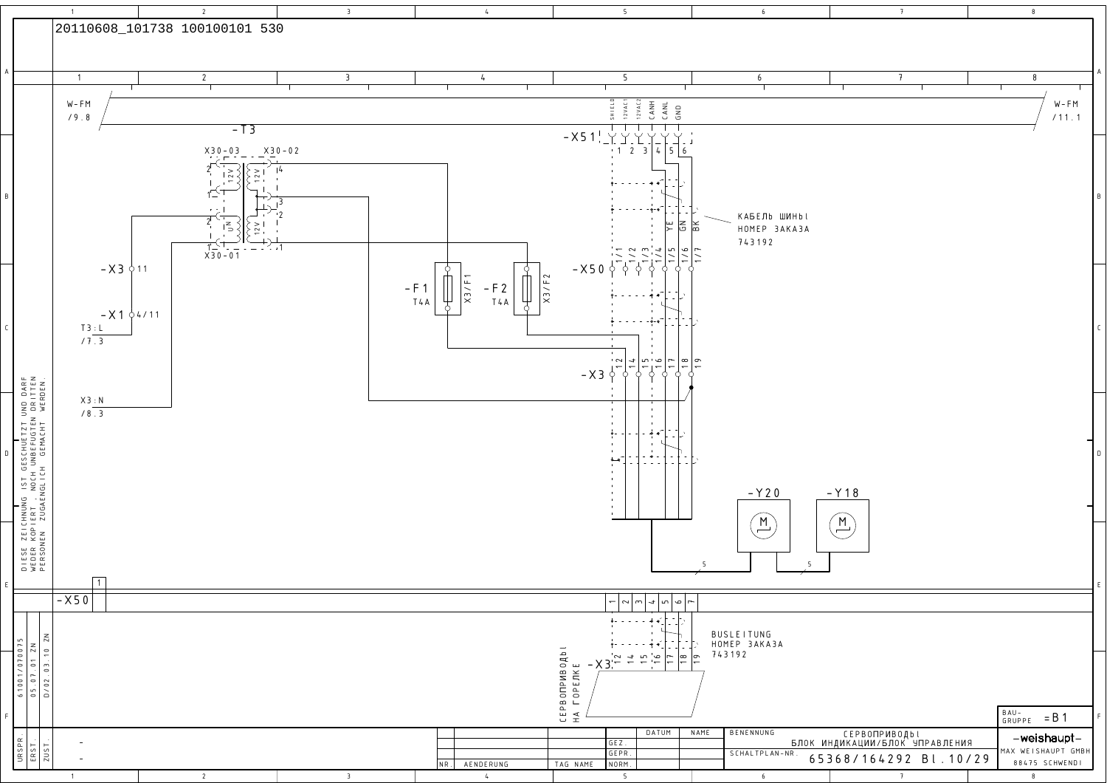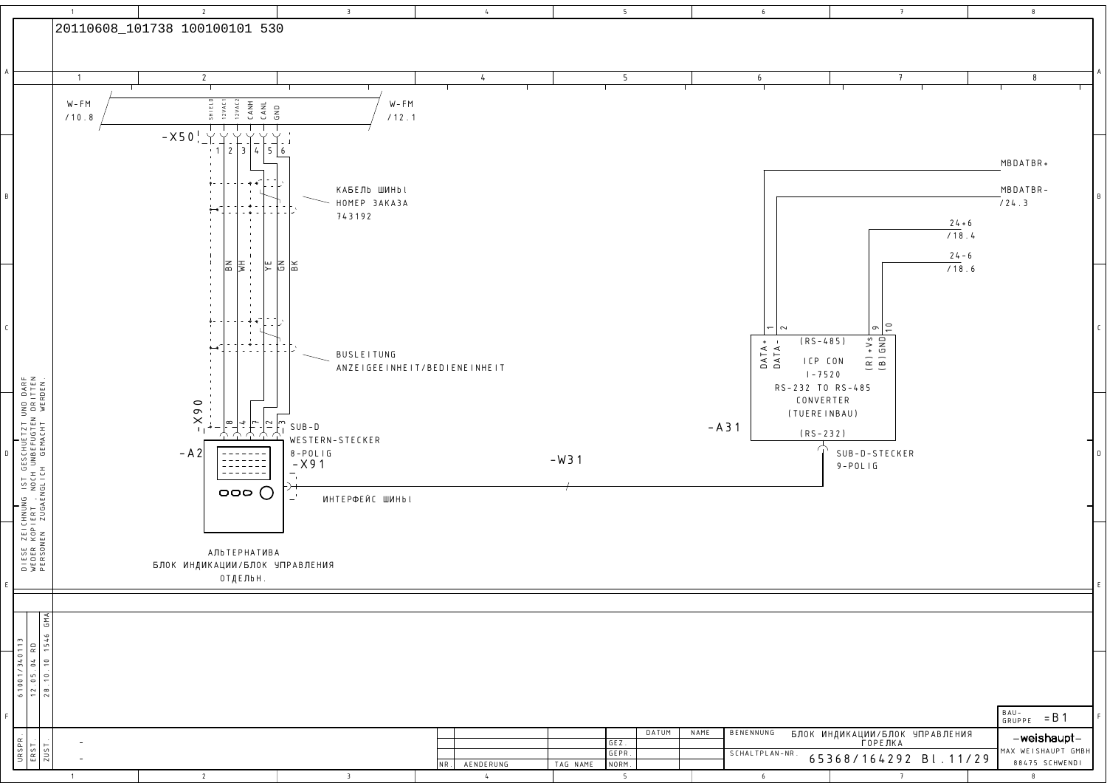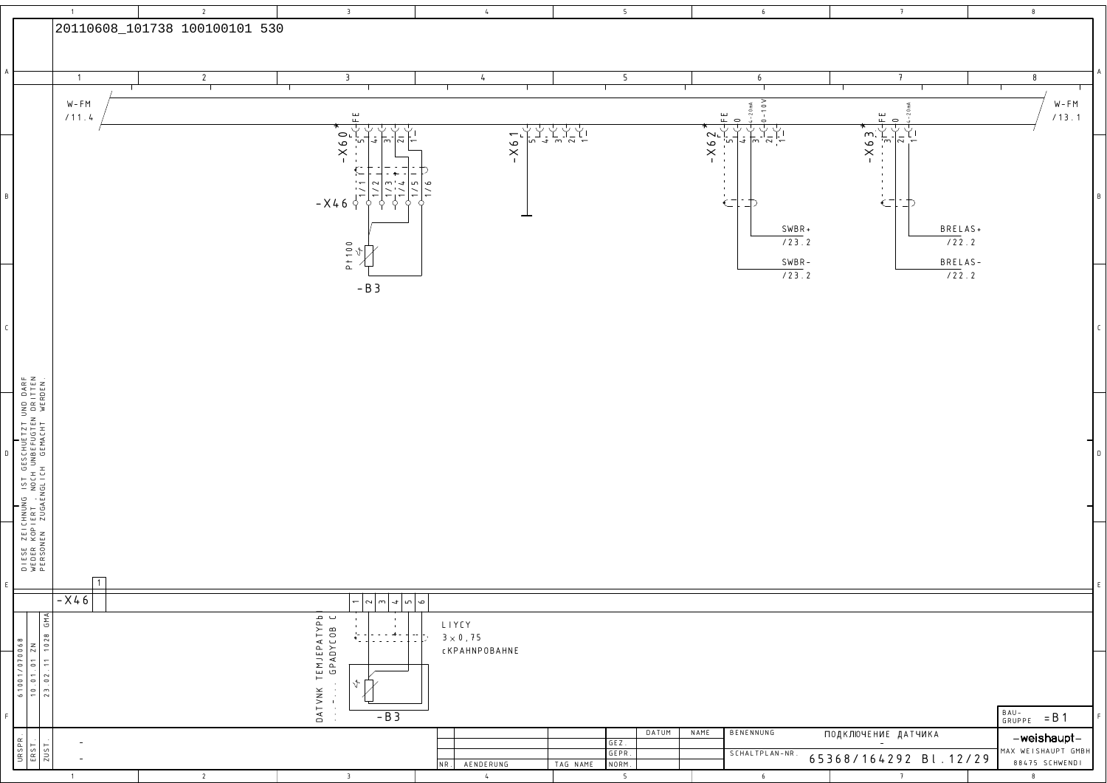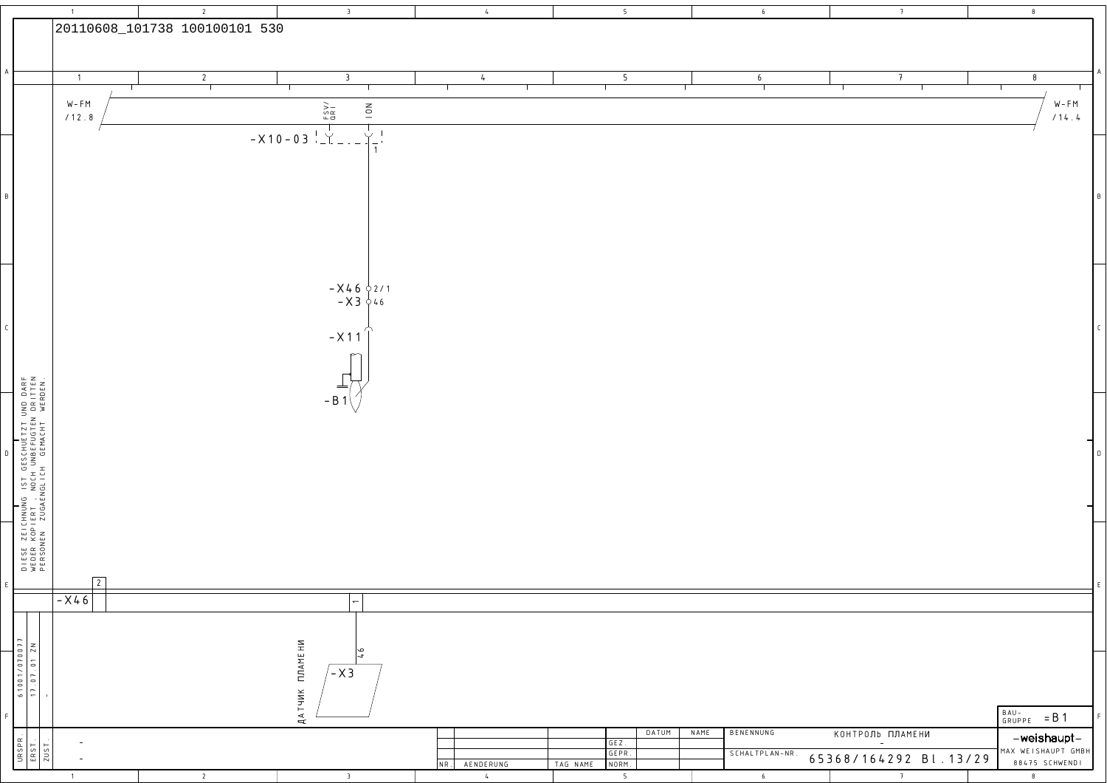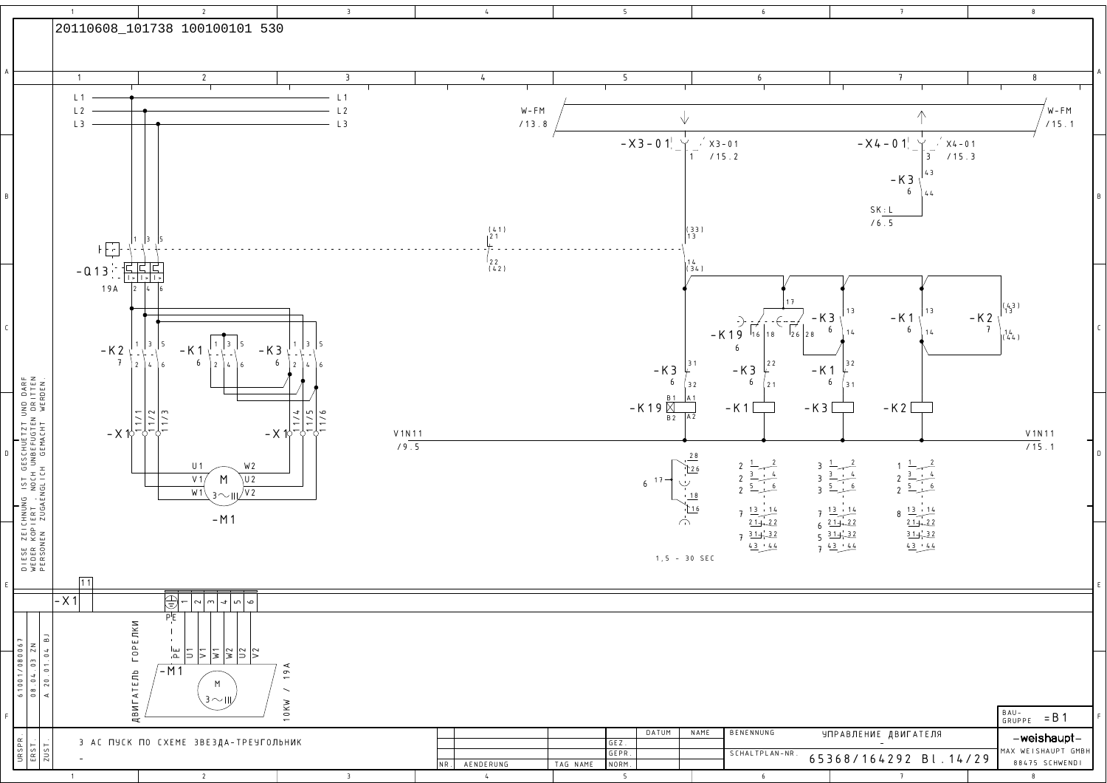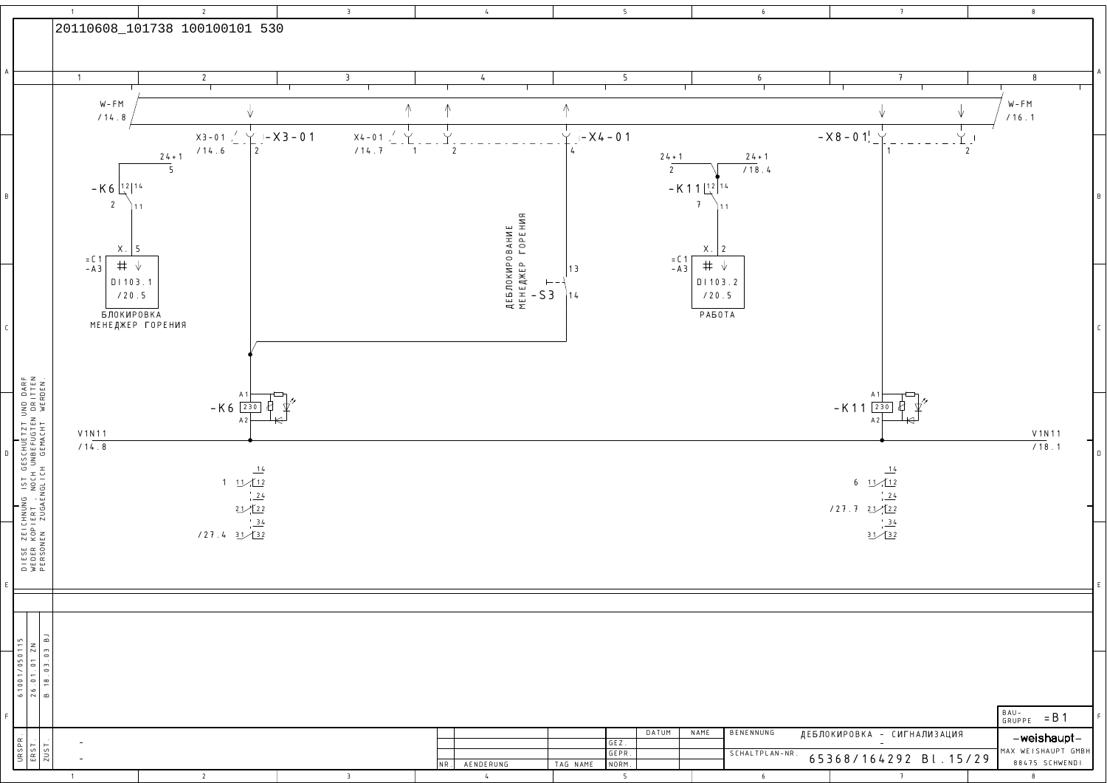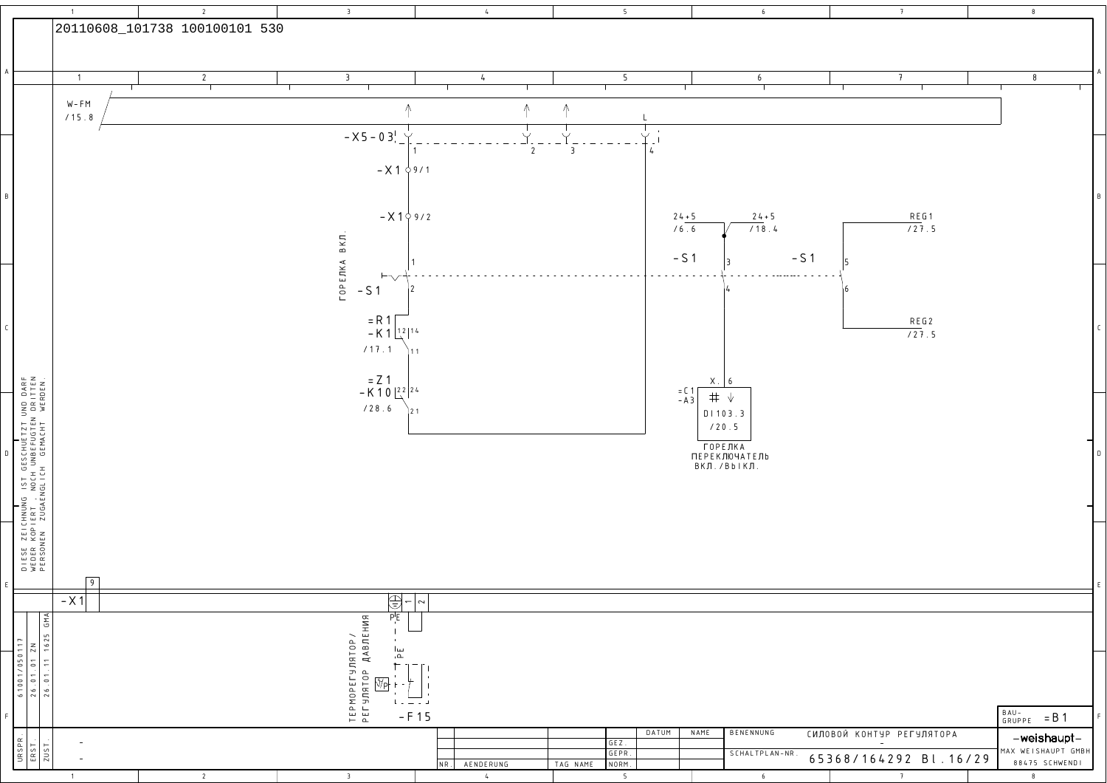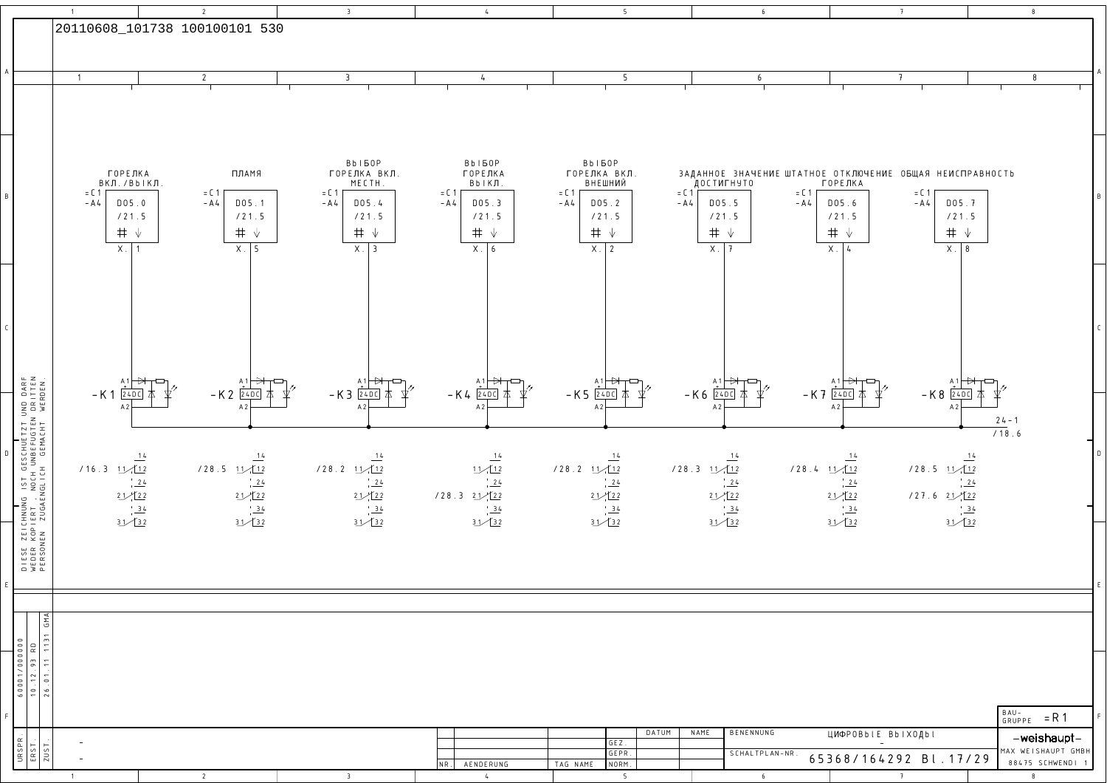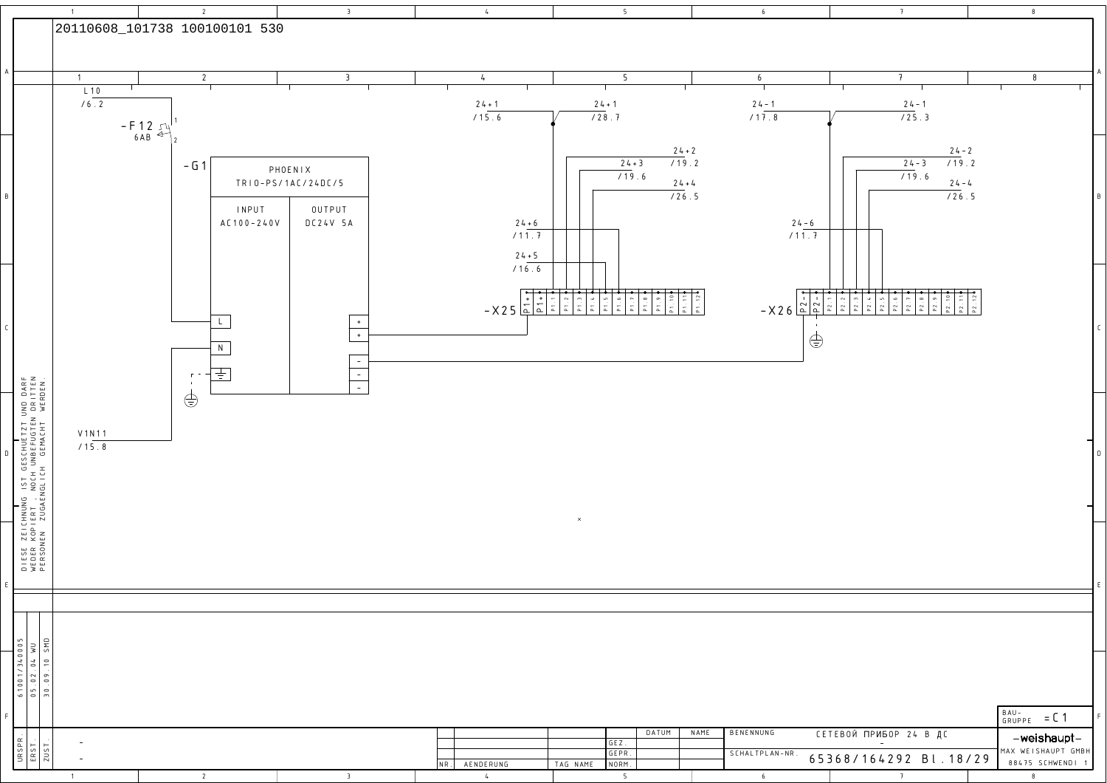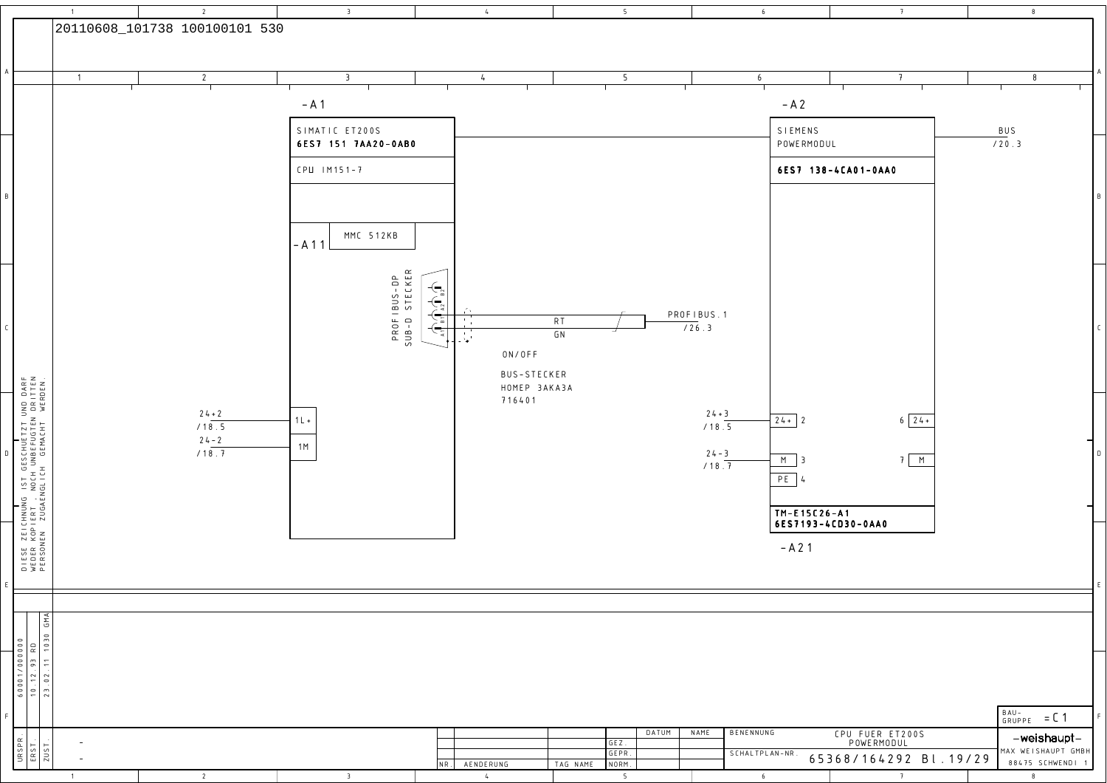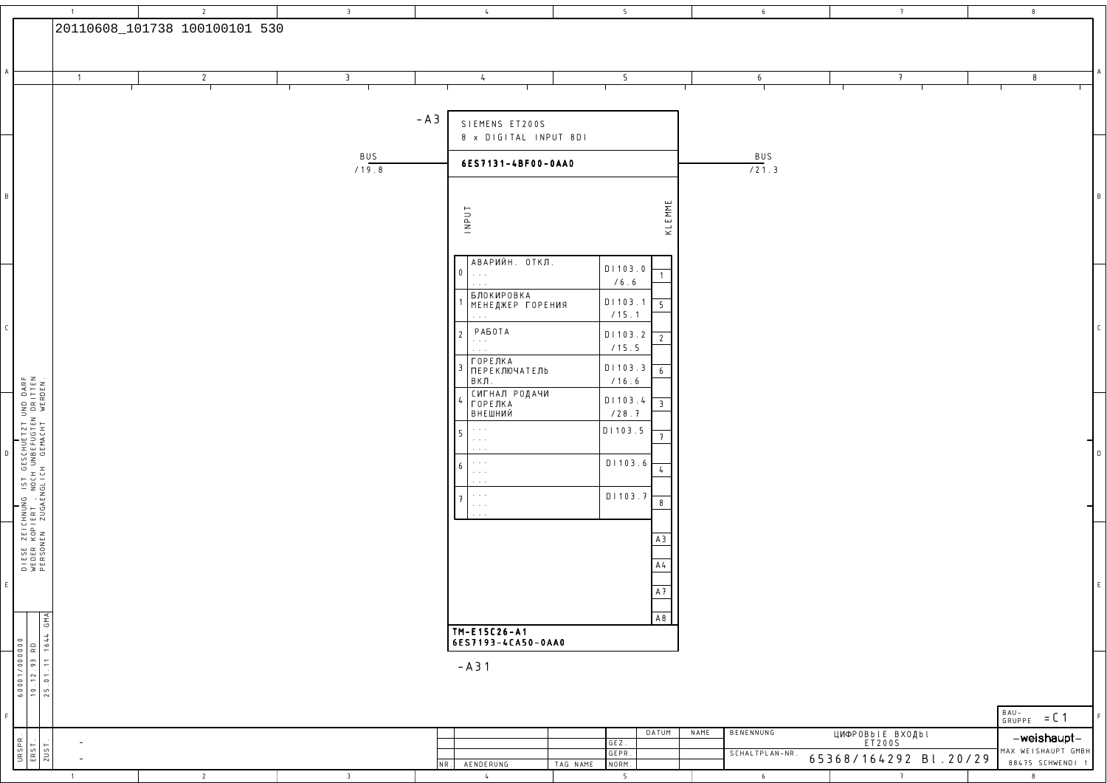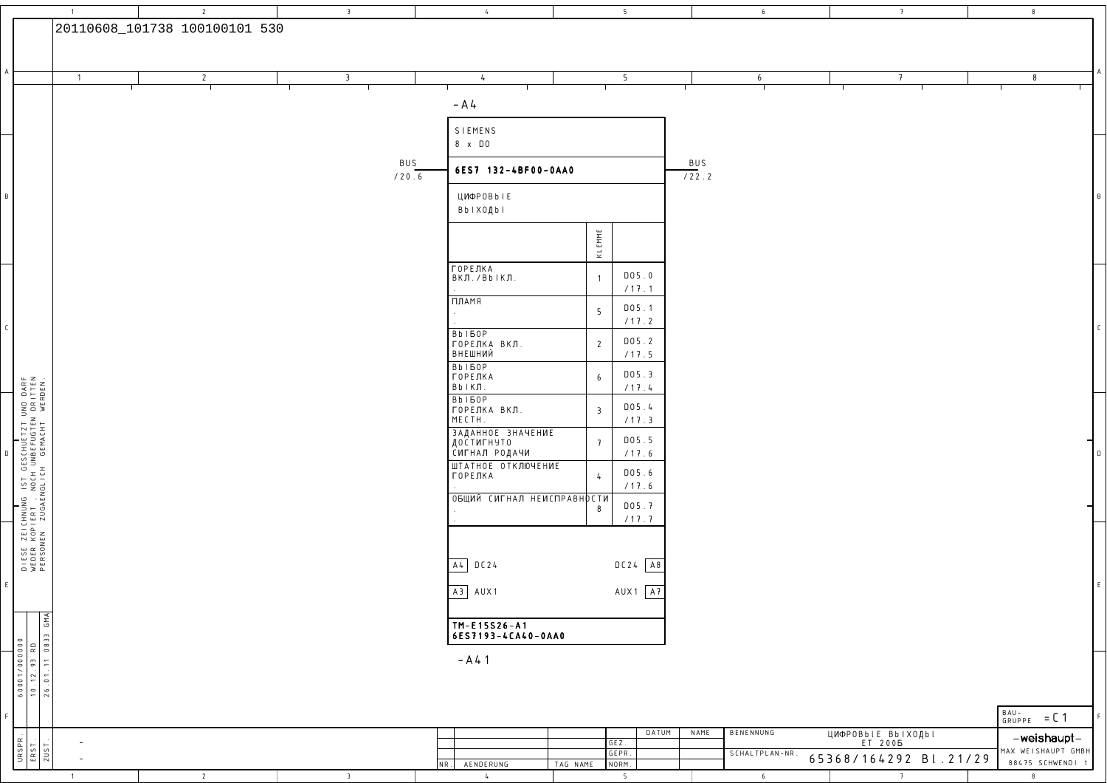|                                                                                                                                               | $\overline{1}$ | $\overline{2}$                | $\overline{3}$          | $\frac{1}{2}$                        | 5 <sub>1</sub>                      | $6\overline{6}$   | 7                              | 8                        |
|-----------------------------------------------------------------------------------------------------------------------------------------------|----------------|-------------------------------|-------------------------|--------------------------------------|-------------------------------------|-------------------|--------------------------------|--------------------------|
|                                                                                                                                               |                | 20110608_101738 100100101 530 |                         |                                      |                                     |                   |                                |                          |
|                                                                                                                                               |                |                               |                         |                                      |                                     |                   |                                |                          |
|                                                                                                                                               |                |                               |                         |                                      |                                     |                   |                                |                          |
|                                                                                                                                               | $\overline{1}$ | $\overline{2}$                | $\overline{\mathbf{3}}$ | $\frac{1}{2}$                        | 5                                   | 6                 | $\overline{t}$                 | 8                        |
|                                                                                                                                               |                |                               |                         |                                      |                                     |                   |                                |                          |
|                                                                                                                                               |                |                               |                         | $- A4$                               |                                     |                   |                                |                          |
|                                                                                                                                               |                |                               |                         |                                      |                                     |                   |                                |                          |
|                                                                                                                                               |                |                               |                         | SIEMENS<br>8 x DO                    |                                     |                   |                                |                          |
|                                                                                                                                               |                |                               |                         |                                      |                                     |                   |                                |                          |
|                                                                                                                                               |                |                               | BUS                     | 6ES7 132-4BF00-0AA0                  |                                     | BUS<br>122.2      |                                |                          |
|                                                                                                                                               |                |                               | $\sqrt{20.6}$           |                                      |                                     |                   |                                |                          |
|                                                                                                                                               |                |                               |                         | ЦИФР0ВЬ I Е                          |                                     |                   |                                |                          |
|                                                                                                                                               |                |                               |                         | ВЬ   ХОДЬ                            |                                     |                   |                                |                          |
|                                                                                                                                               |                |                               |                         |                                      |                                     |                   |                                |                          |
|                                                                                                                                               |                |                               |                         |                                      | KL EMME                             |                   |                                |                          |
|                                                                                                                                               |                |                               |                         |                                      |                                     |                   |                                |                          |
|                                                                                                                                               |                |                               |                         | ГОРЕЛКА<br>ВКЛ./ВЬІКЛ.               | D05.0<br>$\overline{1}$             |                   |                                |                          |
|                                                                                                                                               |                |                               |                         | ПЛАМЯ                                | /17.1                               |                   |                                |                          |
|                                                                                                                                               |                |                               |                         |                                      | DO5.1<br>$5\overline{)}$            |                   |                                |                          |
|                                                                                                                                               |                |                               |                         | <b>BbI60P</b>                        | /17.2                               |                   |                                |                          |
|                                                                                                                                               |                |                               |                         | ГОРЕЛКА ВКЛ.                         | D05.2<br>$\overline{2}$             |                   |                                |                          |
|                                                                                                                                               |                |                               |                         | ВНЕШНИЙ                              | /17.5                               |                   |                                |                          |
|                                                                                                                                               |                |                               |                         | <b>BbI60P</b><br><b>ГОРЕЛКА</b>      | D05.3<br>$6\overline{6}$            |                   |                                |                          |
|                                                                                                                                               |                |                               |                         | $Bb$   КЛ.                           | /17.4                               |                   |                                |                          |
|                                                                                                                                               |                |                               |                         | <b>BbI60P</b><br>ГОРЕЛКА ВКЛ.        | D05.4<br>$\overline{3}$             |                   |                                |                          |
|                                                                                                                                               |                |                               |                         | MECTH.                               | /17.3                               |                   |                                |                          |
|                                                                                                                                               |                |                               |                         | ЗАДАННОЕ ЗНАЧЕНИЕ<br>ДОСТИГНУТО      | D05.5<br>$\overline{t}$             |                   |                                |                          |
|                                                                                                                                               |                |                               |                         | СИГНАЛ РОДАЧИ                        | /17.6                               |                   |                                |                          |
|                                                                                                                                               |                |                               |                         | ШТАТНОЕ ОТКЛЮЧЕНИЕ<br>ГОРЕЛКА        | DO5.6<br>$\frac{1}{2}$              |                   |                                |                          |
|                                                                                                                                               |                |                               |                         |                                      | /17.6                               |                   |                                |                          |
|                                                                                                                                               |                |                               |                         | ОБЩИЙ СИГНАЛ НЕИСПРАВНОСТИ           | D05.7                               |                   |                                |                          |
|                                                                                                                                               |                |                               |                         |                                      | 8<br>/17.7                          |                   |                                |                          |
|                                                                                                                                               |                |                               |                         |                                      |                                     |                   |                                |                          |
|                                                                                                                                               |                |                               |                         |                                      |                                     |                   |                                |                          |
| DIESE ZEICHNUNG IST GESCHUETZT UND DARF<br>WEDER KOPIERT , NOCH UNBEFUGTEN DRITTEN<br>PERSONEN ZUGAENGLICH GEMACHT WERDEN.                    |                |                               |                         | $A4$ DC24                            | $DC24$ A8                           |                   |                                |                          |
|                                                                                                                                               |                |                               |                         |                                      |                                     |                   |                                | F                        |
|                                                                                                                                               |                |                               |                         | $A3$ $AUX1$                          | $AUX1$ $\overline{A7}$              |                   |                                |                          |
|                                                                                                                                               |                |                               |                         |                                      |                                     |                   |                                |                          |
|                                                                                                                                               |                |                               |                         | TM-E15S26-A1                         |                                     |                   |                                |                          |
|                                                                                                                                               |                |                               |                         | 6ES7193-4CA40-0AA0                   |                                     |                   |                                |                          |
|                                                                                                                                               |                |                               |                         | $- A 4 1$                            |                                     |                   |                                |                          |
|                                                                                                                                               |                |                               |                         |                                      |                                     |                   |                                |                          |
| 6001/000000<br>10.12.93 RD<br>26.01.11 0833 GMA                                                                                               |                |                               |                         |                                      |                                     |                   |                                |                          |
|                                                                                                                                               |                |                               |                         |                                      |                                     |                   |                                |                          |
|                                                                                                                                               |                |                               |                         |                                      |                                     |                   |                                | $BAU -$<br>GRUPPE = $C1$ |
|                                                                                                                                               |                |                               |                         |                                      | DATUM<br>$G E Z$ .                  | BENENNUNG<br>NAME | ЦИФРОВЫ Е ВЫ ХОДЬ !<br>ET 2005 | -weishaupt-              |
| $\begin{array}{r} \n \begin{array}{c}\n \bigcup \text{RSPR} \\  \hline\n \text{E RST} \\  \hline\n 2 \text{UST}\n \end{array} \n \end{array}$ |                |                               |                         |                                      | GEPR.                               | SCHALTPLAN-NR.    | 65368/164292 Bl.21/29          | MAX WEISHAUPT GMBH       |
|                                                                                                                                               | $\overline{1}$ | $\overline{2}$                | $\overline{3}$          | AENDERUNG<br>$NR$ .<br>$\frac{1}{2}$ | NORM.<br>TAG NAME<br>5 <sub>5</sub> | 6                 | 7                              | 88475 SCHWENDI 1<br>8    |

<sup>5</sup>

<sup>6</sup>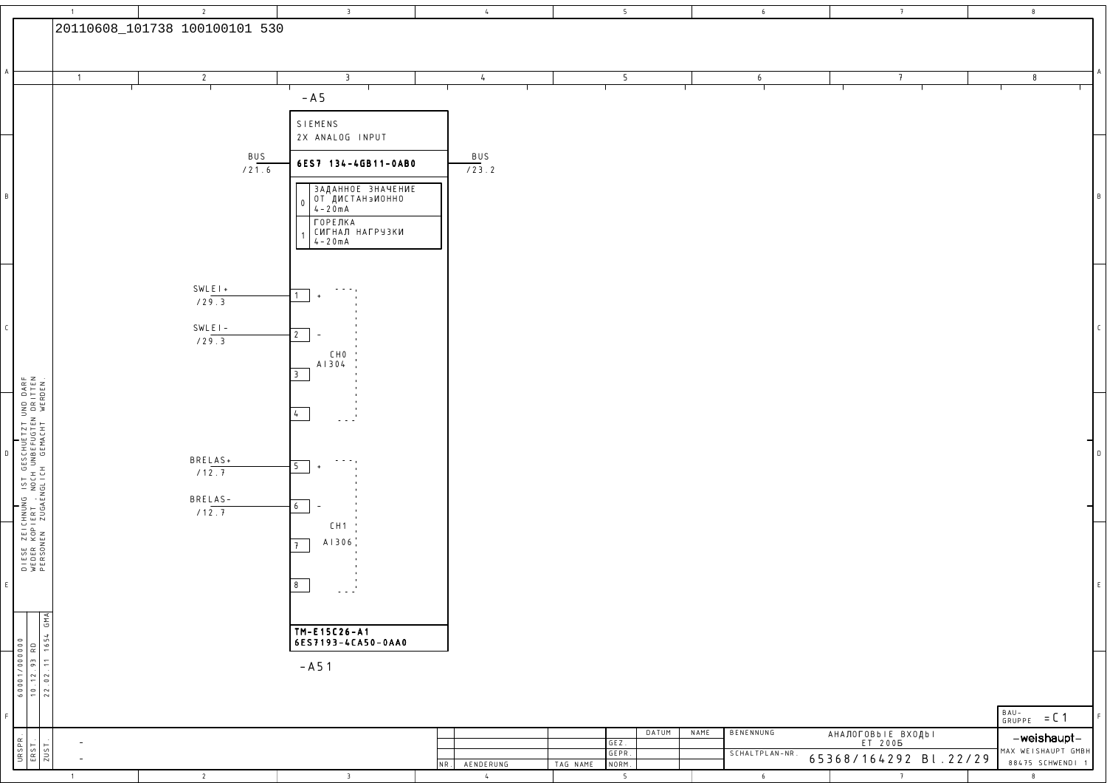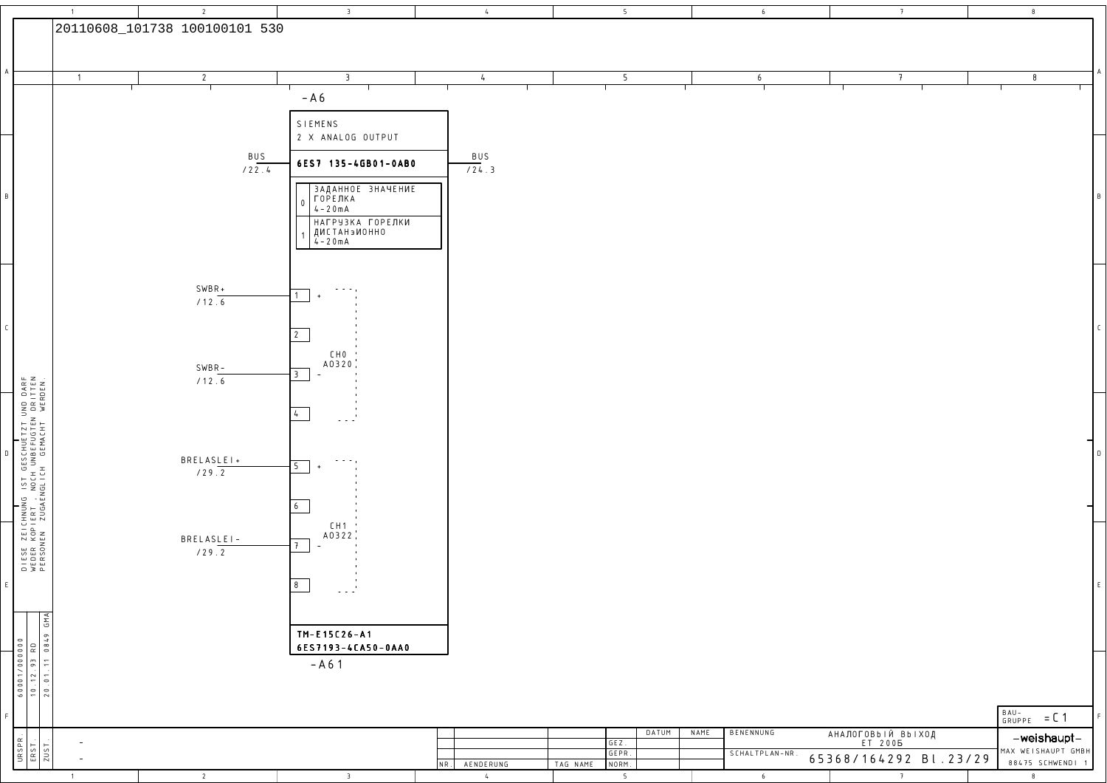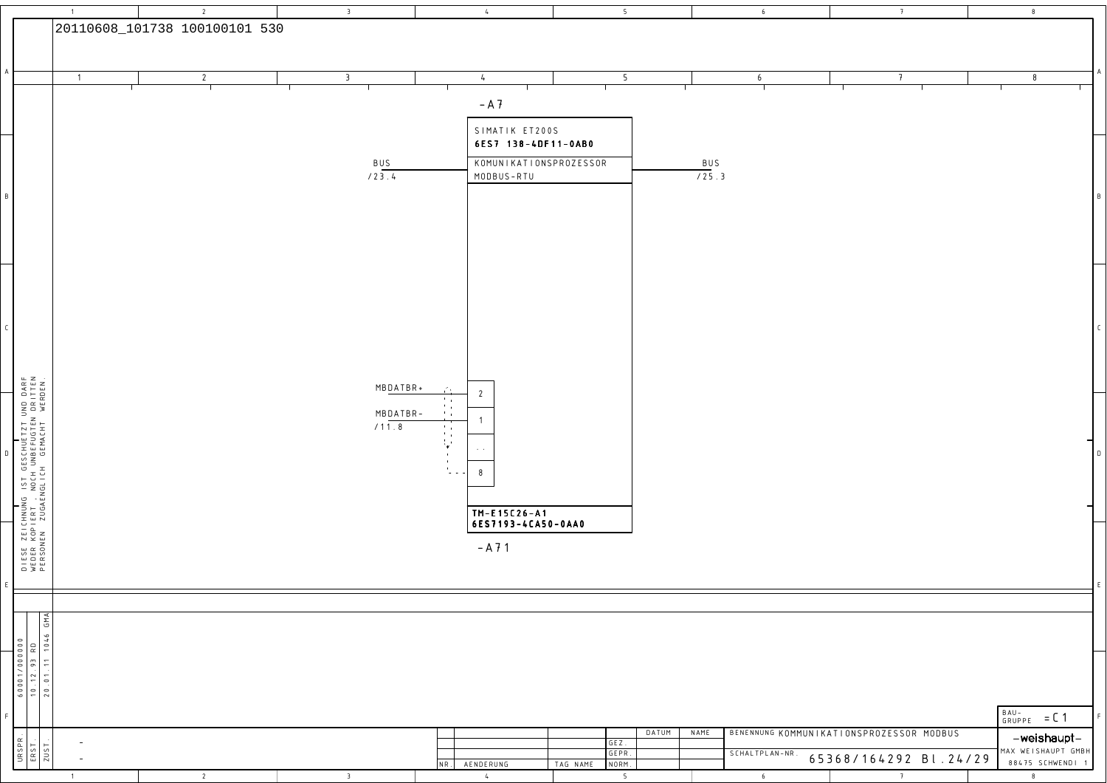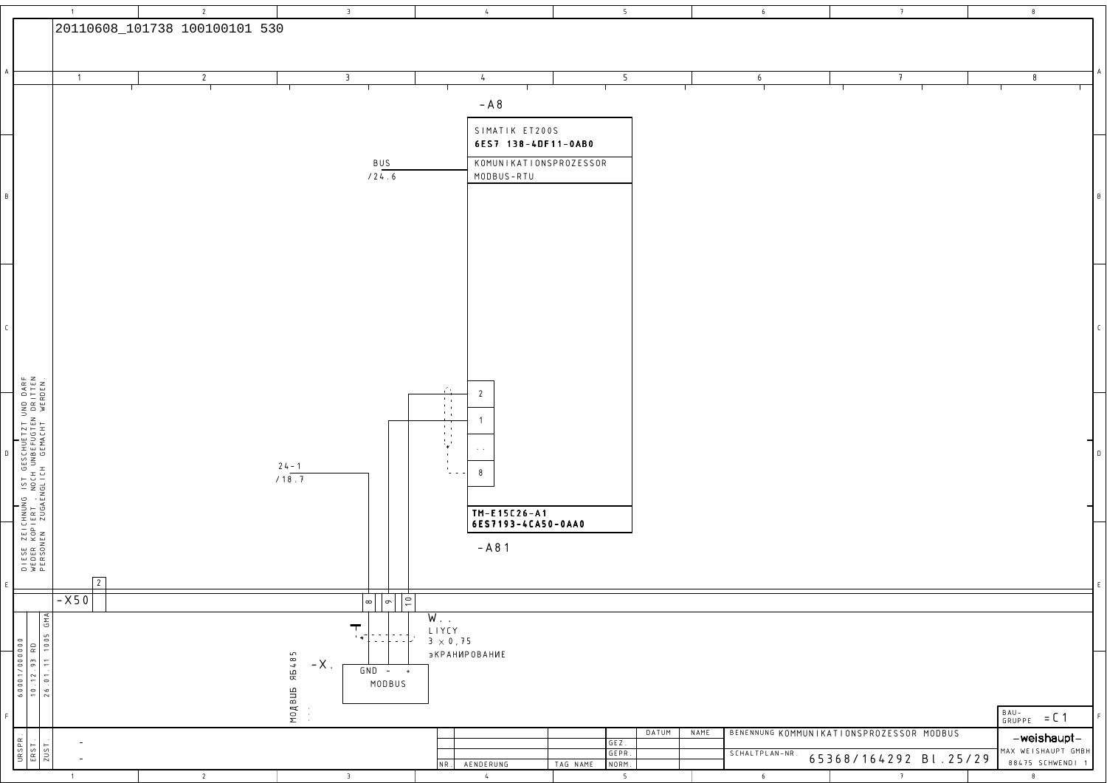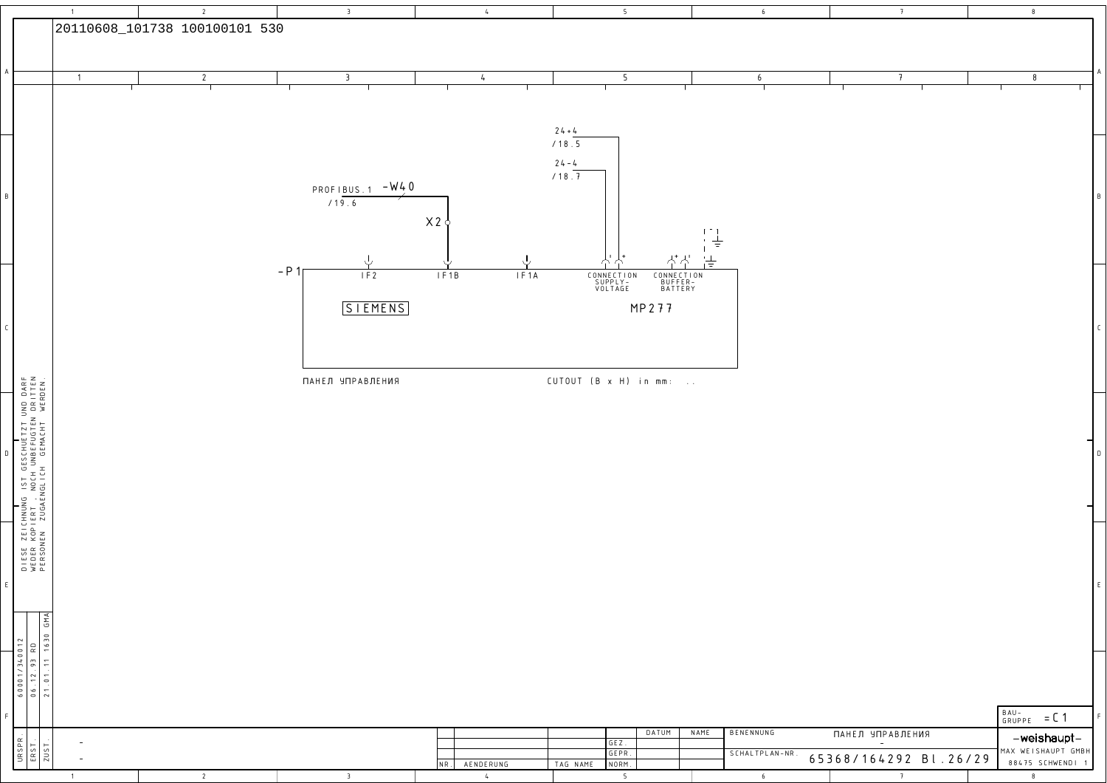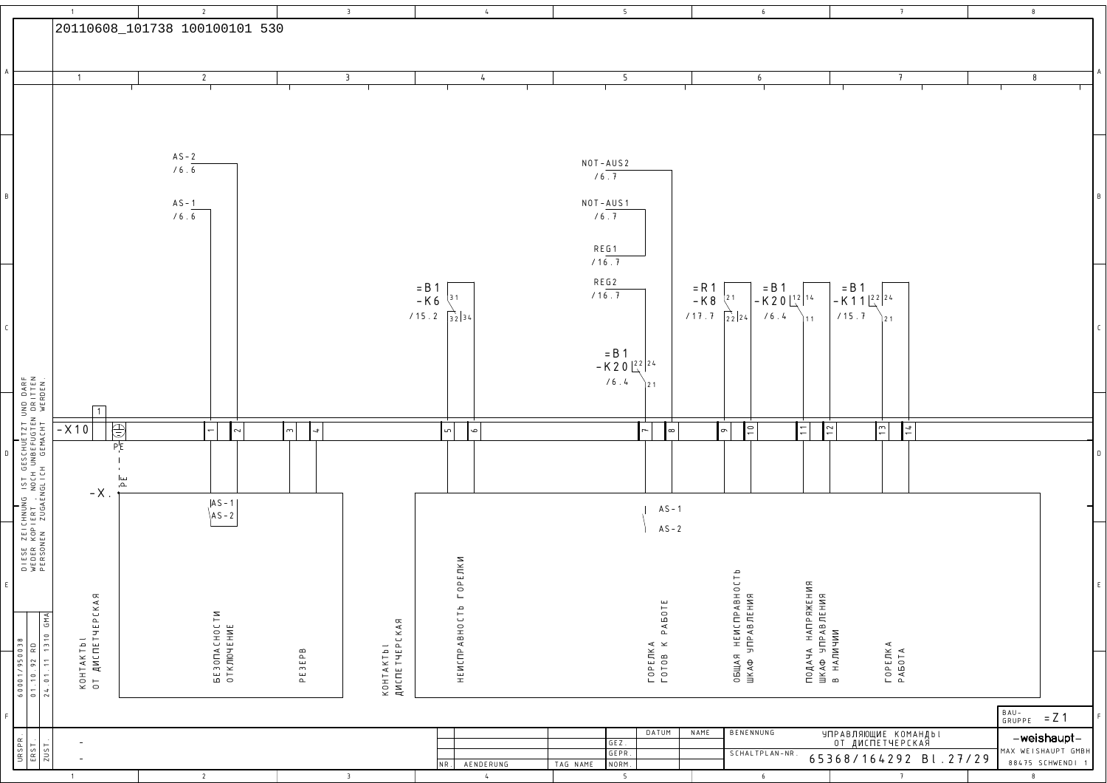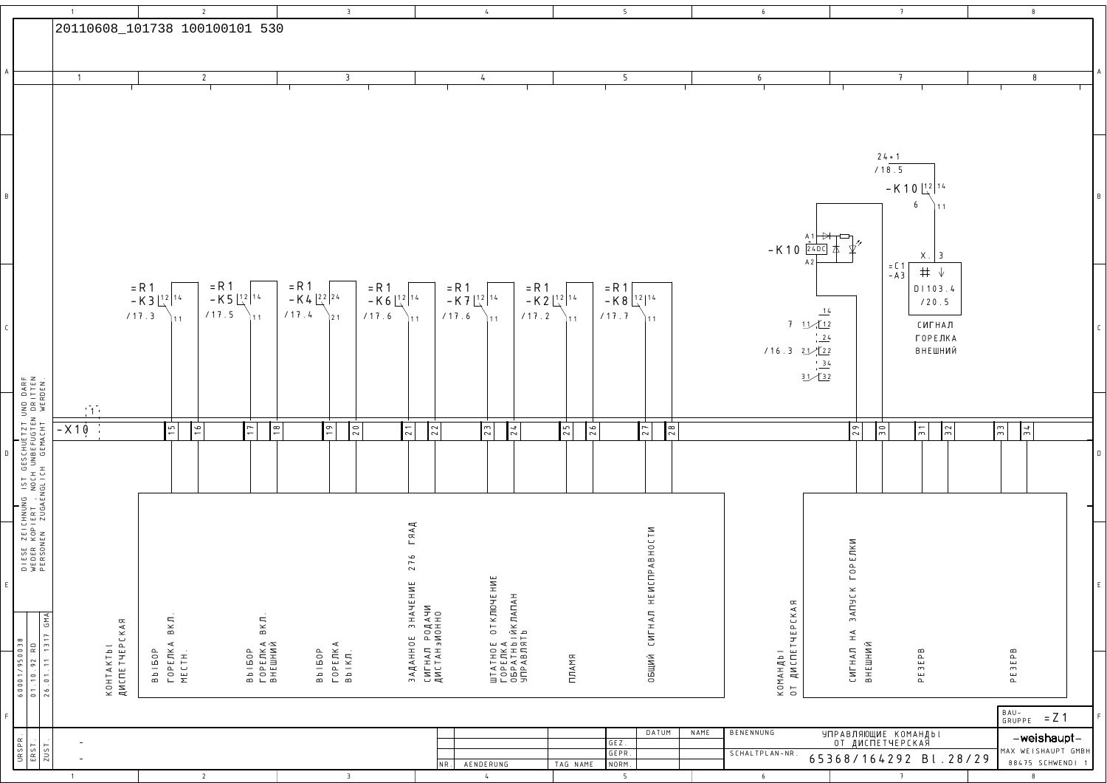|   |                                                                                                                            | $\overline{1}$                             |                                          |                                   | $\overline{2}$ |                                |                                  | $\overline{3}$          |                                   |                                                    | $\frac{1}{2}$                                                |                                       |          | 5                                          |      | $6\overline{6}$              |                           |                                          | 7                                     | 8                                     |                    |  |
|---|----------------------------------------------------------------------------------------------------------------------------|--------------------------------------------|------------------------------------------|-----------------------------------|----------------|--------------------------------|----------------------------------|-------------------------|-----------------------------------|----------------------------------------------------|--------------------------------------------------------------|---------------------------------------|----------|--------------------------------------------|------|------------------------------|---------------------------|------------------------------------------|---------------------------------------|---------------------------------------|--------------------|--|
|   |                                                                                                                            |                                            |                                          | 20110608_101738 100100101 530     |                |                                |                                  |                         |                                   |                                                    |                                                              |                                       |          |                                            |      |                              |                           |                                          |                                       |                                       |                    |  |
|   |                                                                                                                            |                                            |                                          |                                   |                |                                |                                  |                         |                                   |                                                    |                                                              |                                       |          |                                            |      |                              |                           |                                          |                                       |                                       |                    |  |
|   |                                                                                                                            | $\overline{1}$                             |                                          |                                   | $\overline{2}$ |                                |                                  | $\overline{3}$          |                                   |                                                    | $\frac{1}{2}$                                                |                                       |          | 5                                          |      | 6                            |                           | $\overline{t}$                           |                                       | 8                                     |                    |  |
|   |                                                                                                                            |                                            |                                          |                                   |                |                                |                                  |                         |                                   |                                                    |                                                              |                                       |          |                                            |      |                              |                           |                                          |                                       |                                       |                    |  |
|   |                                                                                                                            |                                            |                                          |                                   |                |                                |                                  |                         |                                   |                                                    |                                                              |                                       |          |                                            |      |                              |                           |                                          |                                       |                                       |                    |  |
|   |                                                                                                                            |                                            |                                          |                                   |                |                                |                                  |                         |                                   |                                                    |                                                              |                                       |          |                                            |      |                              |                           |                                          |                                       |                                       |                    |  |
|   |                                                                                                                            |                                            |                                          |                                   |                |                                |                                  |                         |                                   |                                                    |                                                              |                                       |          |                                            |      |                              |                           | $24 + 1$                                 |                                       |                                       |                    |  |
|   |                                                                                                                            |                                            |                                          |                                   |                |                                |                                  |                         |                                   |                                                    |                                                              |                                       |          |                                            |      |                              |                           | /18.5                                    |                                       |                                       |                    |  |
|   |                                                                                                                            |                                            |                                          |                                   |                |                                |                                  |                         |                                   |                                                    |                                                              |                                       |          |                                            |      |                              |                           |                                          | $-K 10\left[\frac{12}{4}\right]^{14}$ |                                       |                    |  |
|   |                                                                                                                            |                                            |                                          |                                   |                |                                |                                  |                         |                                   |                                                    |                                                              |                                       |          |                                            |      |                              |                           |                                          | 6                                     |                                       |                    |  |
|   |                                                                                                                            |                                            |                                          |                                   |                |                                |                                  |                         |                                   |                                                    |                                                              |                                       |          |                                            |      |                              |                           |                                          |                                       |                                       |                    |  |
|   |                                                                                                                            |                                            |                                          |                                   |                |                                |                                  |                         |                                   |                                                    |                                                              |                                       |          |                                            |      | $-K 10 \frac{1}{24DC}$       |                           |                                          | X. 3                                  |                                       |                    |  |
|   |                                                                                                                            |                                            |                                          |                                   |                |                                |                                  |                         |                                   |                                                    |                                                              |                                       |          |                                            |      |                              |                           | $= 0.1$<br>$- A 3$                       | $\, \pm$<br>$\sqrt{}$                 |                                       |                    |  |
|   |                                                                                                                            |                                            |                                          | = R 1<br>- K 3 $\frac{12}{14}$ 14 | $= R 1$        |                                | $= R 1$                          |                         | = R 1<br>- K 6 $\frac{12}{14}$ 14 |                                                    | = R 1<br>- K 7 $\frac{12}{14}$ 14                            | = R 1<br>- K 2 $\sqrt{\frac{12}{14}}$ |          | $=$ R 1<br>- K 8 $\frac{12}{12}$           |      |                              |                           |                                          | $D$   103.4                           |                                       |                    |  |
|   |                                                                                                                            |                                            |                                          | /17.3<br>11                       | /17.5          | $-K$ 5 $\frac{12}{3}$ 14<br>11 | - K 4 $\frac{22}{3}$ 24<br>/17.4 |                         | $\sqrt{17.6}$                     | 11                                                 | /17.6<br>11                                                  | /17.2                                 | 11       | /17.7<br>11                                |      |                              | 14                        |                                          | /20.5                                 |                                       |                    |  |
|   |                                                                                                                            |                                            |                                          |                                   |                |                                |                                  |                         |                                   |                                                    |                                                              |                                       |          |                                            |      |                              | 711/12<br>$^{1}$ $24$     |                                          | СИГНАЛ                                |                                       |                    |  |
|   |                                                                                                                            |                                            |                                          |                                   |                |                                |                                  |                         |                                   |                                                    |                                                              |                                       |          |                                            |      | 116.32122                    |                           |                                          | ГОРЕЛКА<br>ВНЕШНИЙ                    |                                       |                    |  |
|   |                                                                                                                            |                                            |                                          |                                   |                |                                |                                  |                         |                                   |                                                    |                                                              |                                       |          |                                            |      |                              | $\frac{34}{1}$<br>31/32   |                                          |                                       |                                       |                    |  |
|   |                                                                                                                            |                                            |                                          |                                   |                |                                |                                  |                         |                                   |                                                    |                                                              |                                       |          |                                            |      |                              |                           |                                          |                                       |                                       |                    |  |
|   |                                                                                                                            | $\langle \, \hat{1} \, \hat{2} \, \rangle$ |                                          |                                   |                |                                |                                  |                         |                                   |                                                    |                                                              |                                       |          |                                            |      |                              |                           |                                          |                                       |                                       |                    |  |
|   | DIESE ZEICHNUNG IST GESCHUETZT UND DARF<br>WEDER KOPIERT , NOCH UNBEFUGTEN DRITTEN<br>PERSONEN ZUGAENGLICH GEMACHT WERDEN. | $-X10$                                     |                                          | $\overline{51}$                   | $\frac{9}{2}$  | $\overline{1}$                 | $\boxed{8}$                      | $\boxed{19}$            | $\sqrt{2}$<br>$\overline{21}$     | $\vert \frac{2}{3} \vert$                          | $\sqrt{2}$<br>24                                             |                                       | 25<br> z | $\overline{\mathbb{R}}$<br>$\overline{27}$ |      |                              |                           | $\sqrt{2}$<br>$\frac{1}{2}$              | $\overline{5}$<br>$\overline{3}$      | $\sqrt{\frac{2}{n}}$<br>$\frac{1}{2}$ |                    |  |
|   |                                                                                                                            |                                            |                                          |                                   |                |                                |                                  |                         |                                   |                                                    |                                                              |                                       |          |                                            |      |                              |                           |                                          |                                       |                                       |                    |  |
|   |                                                                                                                            |                                            |                                          |                                   |                |                                |                                  |                         |                                   |                                                    |                                                              |                                       |          |                                            |      |                              |                           |                                          |                                       |                                       |                    |  |
|   |                                                                                                                            |                                            |                                          |                                   |                |                                |                                  |                         |                                   |                                                    |                                                              |                                       |          |                                            |      |                              |                           |                                          |                                       |                                       |                    |  |
|   |                                                                                                                            |                                            |                                          |                                   |                |                                |                                  |                         |                                   |                                                    |                                                              |                                       |          |                                            |      |                              |                           |                                          |                                       |                                       |                    |  |
|   |                                                                                                                            |                                            |                                          |                                   |                |                                |                                  |                         |                                   | $\Gamma$ ЯАД                                       |                                                              |                                       |          |                                            |      |                              |                           |                                          |                                       |                                       |                    |  |
|   |                                                                                                                            |                                            |                                          |                                   |                |                                |                                  |                         |                                   |                                                    |                                                              |                                       |          |                                            |      |                              |                           |                                          |                                       |                                       |                    |  |
|   |                                                                                                                            |                                            |                                          |                                   |                |                                |                                  |                         |                                   | 276                                                |                                                              |                                       |          | ENCTPABHOCTN                               |      |                              | ГОРЕЛКИ                   |                                          |                                       |                                       |                    |  |
| F |                                                                                                                            |                                            |                                          |                                   |                |                                |                                  |                         |                                   |                                                    | EHVIE                                                        |                                       |          |                                            |      |                              | $\widetilde{\phantom{a}}$ |                                          |                                       |                                       |                    |  |
|   |                                                                                                                            |                                            |                                          |                                   |                |                                |                                  |                         |                                   |                                                    |                                                              |                                       |          |                                            |      |                              | <b>RUVE</b>               |                                          |                                       |                                       |                    |  |
|   | GMA                                                                                                                        |                                            |                                          | ВКЛ                               |                | $BKJI$ .                       |                                  |                         |                                   |                                                    |                                                              |                                       |          |                                            |      |                              |                           |                                          |                                       |                                       |                    |  |
|   |                                                                                                                            |                                            |                                          | Bbl50P<br>ГОРЕЛКА<br>МЕСТН.       |                | ВЫ I БОР<br>ГОРЕЛКА<br>ВНЕШНИЙ |                                  | ГОРЕЛКА<br>ВЫ КЛ        |                                   | ЗАДАННОЕ ЗНАЧЕНИЕ<br>СИГНАЛ РОДАЧИ<br>ДИСТАНЭИОННО | ШТАТНОЕ ОТКЛЮЧЕН<br>ГОРЕЛКА<br>ОБРАТНЬ ІЙКЛАПАН<br>УПРАВЛЯТЬ |                                       |          | ОБЩИЙ СИГНАЛ Н                             |      | ΚΟΜΑΗДЬΙ<br>ΟΤ ДИСПЕТЧЕРСКАЯ | CMLHAN HA                 |                                          |                                       |                                       |                    |  |
|   |                                                                                                                            |                                            |                                          |                                   |                |                                |                                  | <b>Bbl50P</b>           |                                   |                                                    |                                                              |                                       | ПЛАМЯ    |                                            |      |                              |                           | ВНЕШНИЙ                                  | PE3EPB                                | PE3EPB                                |                    |  |
|   | $\begin{array}{c} 60001/950038 \\ 01.10.92 RD \\ 26.01.11 1317 \end{array}$                                                |                                            | ΚΟΗΤΑΚΤЬΙ<br><mark>ДИ</mark> СПЕТЧЕРСКАЯ |                                   |                |                                |                                  |                         |                                   |                                                    |                                                              |                                       |          |                                            |      |                              |                           |                                          |                                       |                                       |                    |  |
|   |                                                                                                                            |                                            |                                          |                                   |                |                                |                                  |                         |                                   |                                                    |                                                              |                                       |          |                                            |      |                              |                           |                                          |                                       | BAU-<br>GRUPPE                        | $= Z 1$            |  |
|   |                                                                                                                            | $\overline{\phantom{a}}$                   |                                          |                                   |                |                                |                                  |                         |                                   |                                                    |                                                              |                                       |          | DATUM<br>$GEZ$ .                           | NAME | BENENNUNG                    |                           | УПРАВЛЯЮЩИЕ КОМАНДЫ!<br>ОТ ДИСПЕТЧЕРСКАЯ |                                       |                                       | -weishaupt-        |  |
|   | $\begin{array}{c cc}\n\hline\nURSPR \\ \hline\nERST \\ \hline\nZUST\n\end{array}$                                          | $\overline{a}$                             |                                          |                                   |                |                                |                                  |                         |                                   |                                                    | AENDERUNG<br>NR.                                             |                                       | TAG NAME | GEPR<br>NORM.                              |      | SCHALTPLAN-NR.               |                           |                                          | 65368/164292 Bl.28/29                 | 88475 SCHWENDI                        | MAX WEISHAUPT GMBH |  |
|   |                                                                                                                            | $\overline{1}$                             |                                          |                                   | $\overline{2}$ |                                |                                  | $\overline{\mathbf{3}}$ |                                   |                                                    | $\frac{1}{2}$                                                |                                       |          | $5\overline{)}$                            |      | 6                            |                           |                                          | $\overline{t}$                        | 8                                     |                    |  |